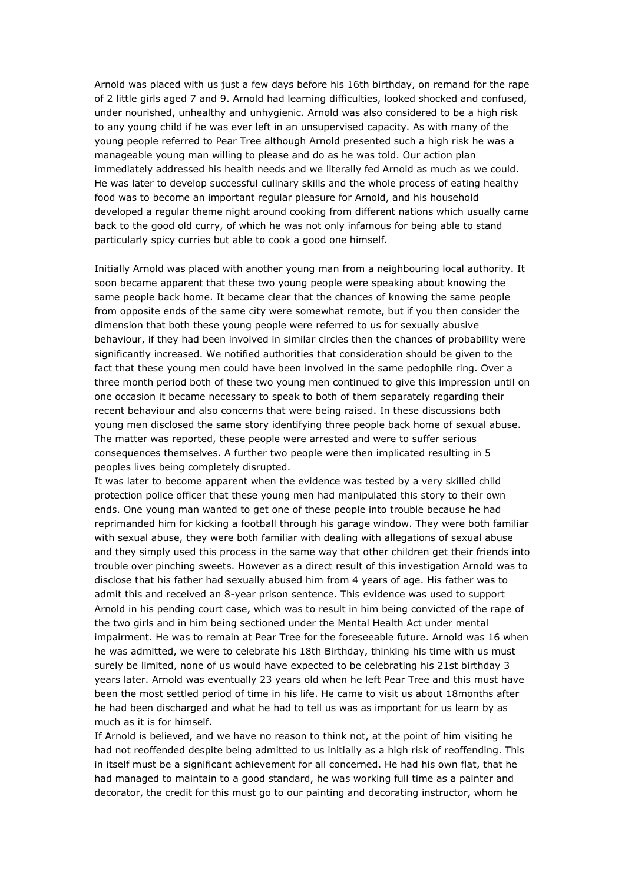Arnold was placed with us just a few days before his 16th birthday, on remand for the rape of 2 little girls aged 7 and 9. Arnold had learning difficulties, looked shocked and confused, under nourished, unhealthy and unhygienic. Arnold was also considered to be a high risk to any young child if he was ever left in an unsupervised capacity. As with many of the young people referred to Pear Tree although Arnold presented such a high risk he was a manageable young man willing to please and do as he was told. Our action plan immediately addressed his health needs and we literally fed Arnold as much as we could. He was later to develop successful culinary skills and the whole process of eating healthy food was to become an important regular pleasure for Arnold, and his household developed a regular theme night around cooking from different nations which usually came back to the good old curry, of which he was not only infamous for being able to stand particularly spicy curries but able to cook a good one himself.

Initially Arnold was placed with another young man from a neighbouring local authority. It soon became apparent that these two young people were speaking about knowing the same people back home. It became clear that the chances of knowing the same people from opposite ends of the same city were somewhat remote, but if you then consider the dimension that both these young people were referred to us for sexually abusive behaviour, if they had been involved in similar circles then the chances of probability were significantly increased. We notified authorities that consideration should be given to the fact that these young men could have been involved in the same pedophile ring. Over a three month period both of these two young men continued to give this impression until on one occasion it became necessary to speak to both of them separately regarding their recent behaviour and also concerns that were being raised. In these discussions both young men disclosed the same story identifying three people back home of sexual abuse. The matter was reported, these people were arrested and were to suffer serious consequences themselves. A further two people were then implicated resulting in 5 peoples lives being completely disrupted.

It was later to become apparent when the evidence was tested by a very skilled child protection police officer that these young men had manipulated this story to their own ends. One young man wanted to get one of these people into trouble because he had reprimanded him for kicking a football through his garage window. They were both familiar with sexual abuse, they were both familiar with dealing with allegations of sexual abuse and they simply used this process in the same way that other children get their friends into trouble over pinching sweets. However as a direct result of this investigation Arnold was to disclose that his father had sexually abused him from 4 years of age. His father was to admit this and received an 8-year prison sentence. This evidence was used to support Arnold in his pending court case, which was to result in him being convicted of the rape of the two girls and in him being sectioned under the Mental Health Act under mental impairment. He was to remain at Pear Tree for the foreseeable future. Arnold was 16 when he was admitted, we were to celebrate his 18th Birthday, thinking his time with us must surely be limited, none of us would have expected to be celebrating his 21st birthday 3 years later. Arnold was eventually 23 years old when he left Pear Tree and this must have been the most settled period of time in his life. He came to visit us about 18months after he had been discharged and what he had to tell us was as important for us learn by as much as it is for himself.

If Arnold is believed, and we have no reason to think not, at the point of him visiting he had not reoffended despite being admitted to us initially as a high risk of reoffending. This in itself must be a significant achievement for all concerned. He had his own flat, that he had managed to maintain to a good standard, he was working full time as a painter and decorator, the credit for this must go to our painting and decorating instructor, whom he